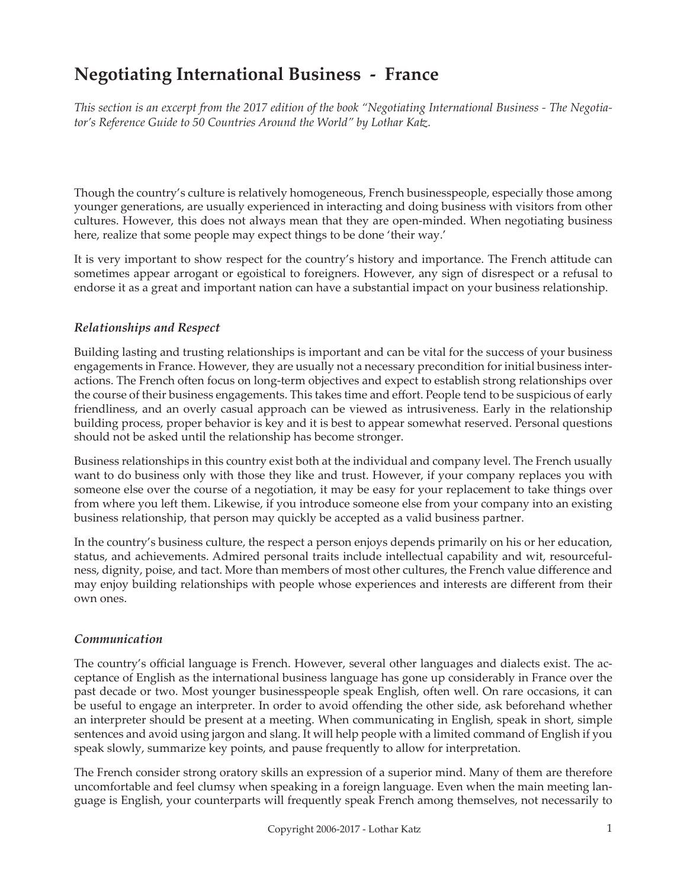# **Negotiating International Business - France**

*This section is an excerpt from the 2017 edition of the book "Negotiating International Business - The Negotiator's Reference Guide to 50 Countries Around the World" by Lothar Katz.*

Though the country's culture is relatively homogeneous, French businesspeople, especially those among younger generations, are usually experienced in interacting and doing business with visitors from other cultures. However, this does not always mean that they are open-minded. When negotiating business here, realize that some people may expect things to be done 'their way.'

It is very important to show respect for the country's history and importance. The French attitude can sometimes appear arrogant or egoistical to foreigners. However, any sign of disrespect or a refusal to endorse it as a great and important nation can have a substantial impact on your business relationship.

## *Relationships and Respect*

Building lasting and trusting relationships is important and can be vital for the success of your business engagements in France. However, they are usually not a necessary precondition for initial business interactions. The French often focus on long-term objectives and expect to establish strong relationships over the course of their business engagements. This takes time and effort. People tend to be suspicious of early friendliness, and an overly casual approach can be viewed as intrusiveness. Early in the relationship building process, proper behavior is key and it is best to appear somewhat reserved. Personal questions should not be asked until the relationship has become stronger.

Business relationships in this country exist both at the individual and company level. The French usually want to do business only with those they like and trust. However, if your company replaces you with someone else over the course of a negotiation, it may be easy for your replacement to take things over from where you left them. Likewise, if you introduce someone else from your company into an existing business relationship, that person may quickly be accepted as a valid business partner.

In the country's business culture, the respect a person enjoys depends primarily on his or her education, status, and achievements. Admired personal traits include intellectual capability and wit, resourcefulness, dignity, poise, and tact. More than members of most other cultures, the French value difference and may enjoy building relationships with people whose experiences and interests are different from their own ones.

#### *Communication*

The country's official language is French. However, several other languages and dialects exist. The acceptance of English as the international business language has gone up considerably in France over the past decade or two. Most younger businesspeople speak English, often well. On rare occasions, it can be useful to engage an interpreter. In order to avoid offending the other side, ask beforehand whether an interpreter should be present at a meeting. When communicating in English, speak in short, simple sentences and avoid using jargon and slang. It will help people with a limited command of English if you speak slowly, summarize key points, and pause frequently to allow for interpretation.

The French consider strong oratory skills an expression of a superior mind. Many of them are therefore uncomfortable and feel clumsy when speaking in a foreign language. Even when the main meeting language is English, your counterparts will frequently speak French among themselves, not necessarily to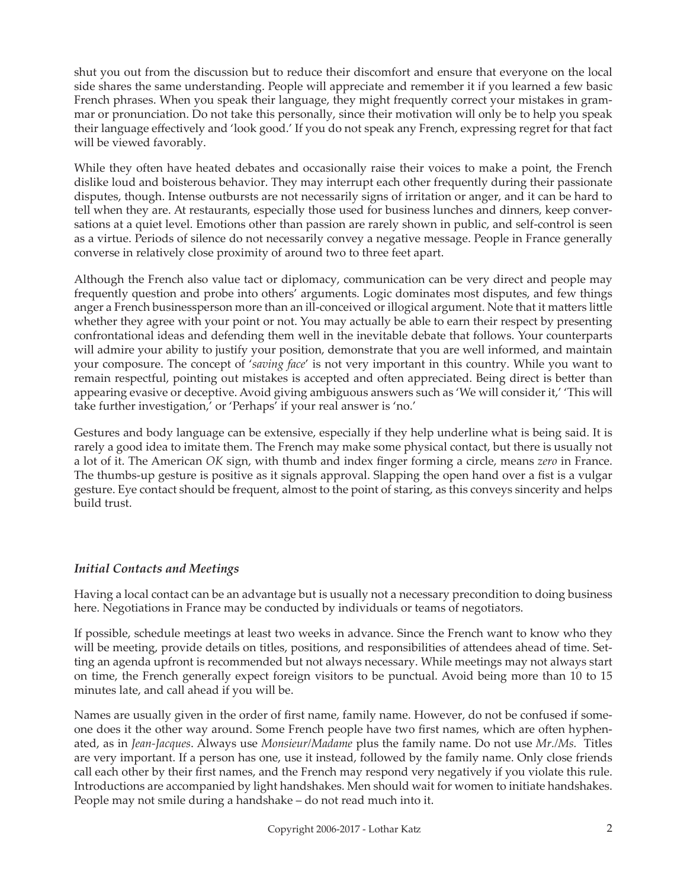shut you out from the discussion but to reduce their discomfort and ensure that everyone on the local side shares the same understanding. People will appreciate and remember it if you learned a few basic French phrases. When you speak their language, they might frequently correct your mistakes in grammar or pronunciation. Do not take this personally, since their motivation will only be to help you speak their language effectively and 'look good.' If you do not speak any French, expressing regret for that fact will be viewed favorably.

While they often have heated debates and occasionally raise their voices to make a point, the French dislike loud and boisterous behavior. They may interrupt each other frequently during their passionate disputes, though. Intense outbursts are not necessarily signs of irritation or anger, and it can be hard to tell when they are. At restaurants, especially those used for business lunches and dinners, keep conversations at a quiet level. Emotions other than passion are rarely shown in public, and self-control is seen as a virtue. Periods of silence do not necessarily convey a negative message. People in France generally converse in relatively close proximity of around two to three feet apart.

Although the French also value tact or diplomacy, communication can be very direct and people may frequently question and probe into others' arguments. Logic dominates most disputes, and few things anger a French businessperson more than an ill-conceived or illogical argument. Note that it matters little whether they agree with your point or not. You may actually be able to earn their respect by presenting confrontational ideas and defending them well in the inevitable debate that follows. Your counterparts will admire your ability to justify your position, demonstrate that you are well informed, and maintain your composure. The concept of '*saving face*' is not very important in this country. While you want to remain respectful, pointing out mistakes is accepted and often appreciated. Being direct is better than appearing evasive or deceptive. Avoid giving ambiguous answers such as 'We will consider it,' 'This will take further investigation,' or 'Perhaps' if your real answer is 'no.'

Gestures and body language can be extensive, especially if they help underline what is being said. It is rarely a good idea to imitate them. The French may make some physical contact, but there is usually not a lot of it. The American *OK* sign, with thumb and index finger forming a circle, means *zero* in France. The thumbs-up gesture is positive as it signals approval. Slapping the open hand over a fist is a vulgar gesture. Eye contact should be frequent, almost to the point of staring, as this conveys sincerity and helps build trust.

#### *Initial Contacts and Meetings*

Having a local contact can be an advantage but is usually not a necessary precondition to doing business here. Negotiations in France may be conducted by individuals or teams of negotiators.

If possible, schedule meetings at least two weeks in advance. Since the French want to know who they will be meeting, provide details on titles, positions, and responsibilities of attendees ahead of time. Setting an agenda upfront is recommended but not always necessary. While meetings may not always start on time, the French generally expect foreign visitors to be punctual. Avoid being more than 10 to 15 minutes late, and call ahead if you will be.

Names are usually given in the order of first name, family name. However, do not be confused if someone does it the other way around. Some French people have two first names, which are often hyphenated, as in *Jean-Jacques*. Always use *Monsieur/Madame* plus the family name. Do not use *Mr./Ms.* Titles are very important. If a person has one, use it instead, followed by the family name. Only close friends call each other by their first names, and the French may respond very negatively if you violate this rule. Introductions are accompanied by light handshakes. Men should wait for women to initiate handshakes. People may not smile during a handshake – do not read much into it.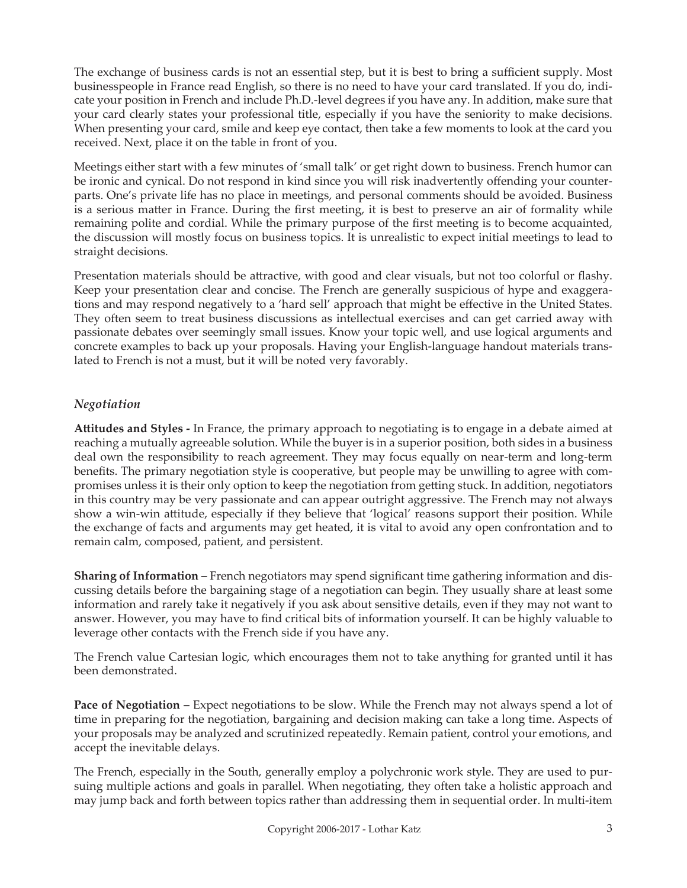The exchange of business cards is not an essential step, but it is best to bring a sufficient supply. Most businesspeople in France read English, so there is no need to have your card translated. If you do, indicate your position in French and include Ph.D.-level degrees if you have any. In addition, make sure that your card clearly states your professional title, especially if you have the seniority to make decisions. When presenting your card, smile and keep eye contact, then take a few moments to look at the card you received. Next, place it on the table in front of you.

Meetings either start with a few minutes of 'small talk' or get right down to business. French humor can be ironic and cynical. Do not respond in kind since you will risk inadvertently offending your counterparts. One's private life has no place in meetings, and personal comments should be avoided. Business is a serious matter in France. During the first meeting, it is best to preserve an air of formality while remaining polite and cordial. While the primary purpose of the first meeting is to become acquainted, the discussion will mostly focus on business topics. It is unrealistic to expect initial meetings to lead to straight decisions.

Presentation materials should be attractive, with good and clear visuals, but not too colorful or flashy. Keep your presentation clear and concise. The French are generally suspicious of hype and exaggerations and may respond negatively to a 'hard sell' approach that might be effective in the United States. They often seem to treat business discussions as intellectual exercises and can get carried away with passionate debates over seemingly small issues. Know your topic well, and use logical arguments and concrete examples to back up your proposals. Having your English-language handout materials translated to French is not a must, but it will be noted very favorably.

## *Negotiation*

**Attitudes and Styles -** In France, the primary approach to negotiating is to engage in a debate aimed at reaching a mutually agreeable solution. While the buyer is in a superior position, both sides in a business deal own the responsibility to reach agreement. They may focus equally on near-term and long-term benefits. The primary negotiation style is cooperative, but people may be unwilling to agree with compromises unless it is their only option to keep the negotiation from getting stuck. In addition, negotiators in this country may be very passionate and can appear outright aggressive. The French may not always show a win-win attitude, especially if they believe that 'logical' reasons support their position. While the exchange of facts and arguments may get heated, it is vital to avoid any open confrontation and to remain calm, composed, patient, and persistent.

**Sharing of Information –** French negotiators may spend significant time gathering information and discussing details before the bargaining stage of a negotiation can begin. They usually share at least some information and rarely take it negatively if you ask about sensitive details, even if they may not want to answer. However, you may have to find critical bits of information yourself. It can be highly valuable to leverage other contacts with the French side if you have any.

The French value Cartesian logic, which encourages them not to take anything for granted until it has been demonstrated.

**Pace of Negotiation – Expect negotiations to be slow. While the French may not always spend a lot of** time in preparing for the negotiation, bargaining and decision making can take a long time. Aspects of your proposals may be analyzed and scrutinized repeatedly. Remain patient, control your emotions, and accept the inevitable delays.

The French, especially in the South, generally employ a polychronic work style. They are used to pursuing multiple actions and goals in parallel. When negotiating, they often take a holistic approach and may jump back and forth between topics rather than addressing them in sequential order. In multi-item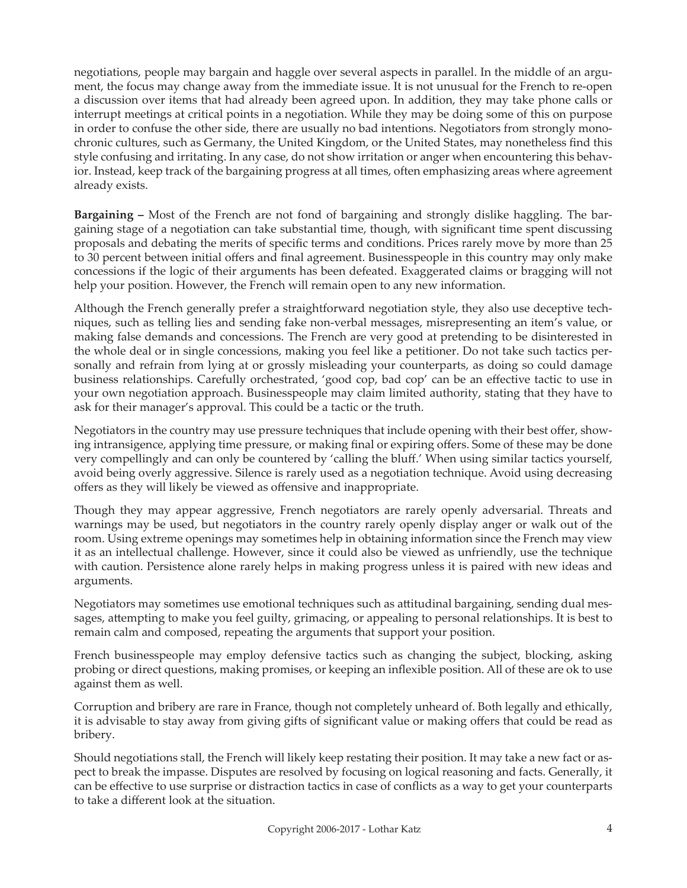negotiations, people may bargain and haggle over several aspects in parallel. In the middle of an argument, the focus may change away from the immediate issue. It is not unusual for the French to re-open a discussion over items that had already been agreed upon. In addition, they may take phone calls or interrupt meetings at critical points in a negotiation. While they may be doing some of this on purpose in order to confuse the other side, there are usually no bad intentions. Negotiators from strongly monochronic cultures, such as Germany, the United Kingdom, or the United States, may nonetheless find this style confusing and irritating. In any case, do not show irritation or anger when encountering this behavior. Instead, keep track of the bargaining progress at all times, often emphasizing areas where agreement already exists.

**Bargaining –** Most of the French are not fond of bargaining and strongly dislike haggling. The bargaining stage of a negotiation can take substantial time, though, with significant time spent discussing proposals and debating the merits of specific terms and conditions. Prices rarely move by more than 25 to 30 percent between initial offers and final agreement. Businesspeople in this country may only make concessions if the logic of their arguments has been defeated. Exaggerated claims or bragging will not help your position. However, the French will remain open to any new information.

Although the French generally prefer a straightforward negotiation style, they also use deceptive techniques, such as telling lies and sending fake non-verbal messages, misrepresenting an item's value, or making false demands and concessions. The French are very good at pretending to be disinterested in the whole deal or in single concessions, making you feel like a petitioner. Do not take such tactics personally and refrain from lying at or grossly misleading your counterparts, as doing so could damage business relationships. Carefully orchestrated, 'good cop, bad cop' can be an effective tactic to use in your own negotiation approach. Businesspeople may claim limited authority, stating that they have to ask for their manager's approval. This could be a tactic or the truth.

Negotiators in the country may use pressure techniques that include opening with their best offer, showing intransigence, applying time pressure, or making final or expiring offers. Some of these may be done very compellingly and can only be countered by 'calling the bluff.' When using similar tactics yourself, avoid being overly aggressive. Silence is rarely used as a negotiation technique. Avoid using decreasing offers as they will likely be viewed as offensive and inappropriate.

Though they may appear aggressive, French negotiators are rarely openly adversarial. Threats and warnings may be used, but negotiators in the country rarely openly display anger or walk out of the room. Using extreme openings may sometimes help in obtaining information since the French may view it as an intellectual challenge. However, since it could also be viewed as unfriendly, use the technique with caution. Persistence alone rarely helps in making progress unless it is paired with new ideas and arguments.

Negotiators may sometimes use emotional techniques such as attitudinal bargaining, sending dual messages, attempting to make you feel guilty, grimacing, or appealing to personal relationships. It is best to remain calm and composed, repeating the arguments that support your position.

French businesspeople may employ defensive tactics such as changing the subject, blocking, asking probing or direct questions, making promises, or keeping an inflexible position. All of these are ok to use against them as well.

Corruption and bribery are rare in France, though not completely unheard of. Both legally and ethically, it is advisable to stay away from giving gifts of significant value or making offers that could be read as bribery.

Should negotiations stall, the French will likely keep restating their position. It may take a new fact or aspect to break the impasse. Disputes are resolved by focusing on logical reasoning and facts. Generally, it can be effective to use surprise or distraction tactics in case of conflicts as a way to get your counterparts to take a different look at the situation.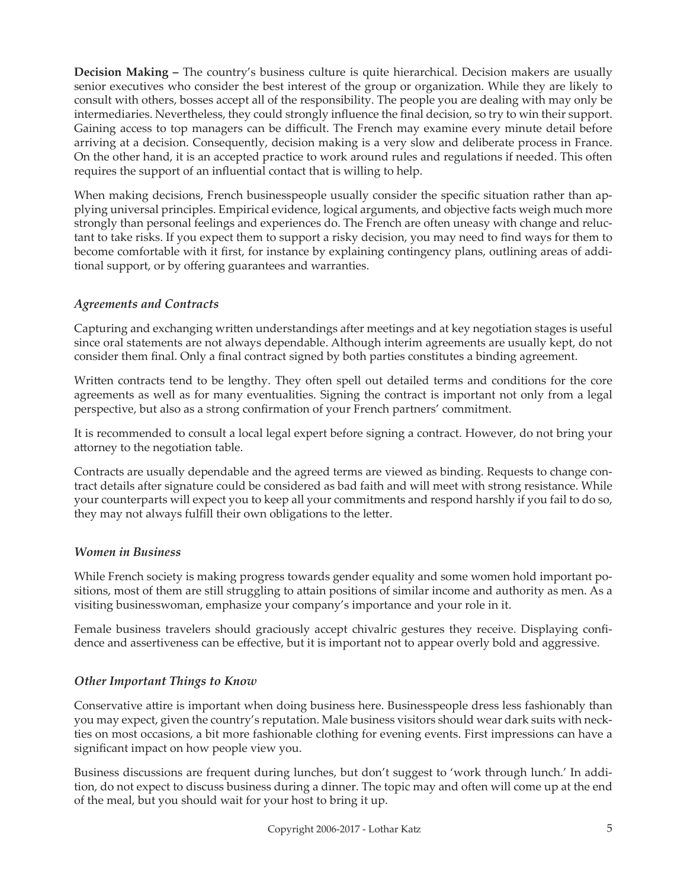**Decision Making –** The country's business culture is quite hierarchical. Decision makers are usually senior executives who consider the best interest of the group or organization. While they are likely to consult with others, bosses accept all of the responsibility. The people you are dealing with may only be intermediaries. Nevertheless, they could strongly influence the final decision, so try to win their support. Gaining access to top managers can be difficult. The French may examine every minute detail before arriving at a decision. Consequently, decision making is a very slow and deliberate process in France. On the other hand, it is an accepted practice to work around rules and regulations if needed. This often requires the support of an influential contact that is willing to help.

When making decisions, French businesspeople usually consider the specific situation rather than applying universal principles. Empirical evidence, logical arguments, and objective facts weigh much more strongly than personal feelings and experiences do. The French are often uneasy with change and reluctant to take risks. If you expect them to support a risky decision, you may need to find ways for them to become comfortable with it first, for instance by explaining contingency plans, outlining areas of additional support, or by offering guarantees and warranties.

## *Agreements and Contracts*

Capturing and exchanging written understandings after meetings and at key negotiation stages is useful since oral statements are not always dependable. Although interim agreements are usually kept, do not consider them final. Only a final contract signed by both parties constitutes a binding agreement.

Written contracts tend to be lengthy. They often spell out detailed terms and conditions for the core agreements as well as for many eventualities. Signing the contract is important not only from a legal perspective, but also as a strong confirmation of your French partners' commitment.

It is recommended to consult a local legal expert before signing a contract. However, do not bring your attorney to the negotiation table.

Contracts are usually dependable and the agreed terms are viewed as binding. Requests to change contract details after signature could be considered as bad faith and will meet with strong resistance. While your counterparts will expect you to keep all your commitments and respond harshly if you fail to do so, they may not always fulfill their own obligations to the letter.

#### *Women in Business*

While French society is making progress towards gender equality and some women hold important positions, most of them are still struggling to attain positions of similar income and authority as men. As a visiting businesswoman, emphasize your company's importance and your role in it.

Female business travelers should graciously accept chivalric gestures they receive. Displaying confidence and assertiveness can be effective, but it is important not to appear overly bold and aggressive.

## *Other Important Things to Know*

Conservative attire is important when doing business here. Businesspeople dress less fashionably than you may expect, given the country's reputation. Male business visitors should wear dark suits with neckties on most occasions, a bit more fashionable clothing for evening events. First impressions can have a significant impact on how people view you.

Business discussions are frequent during lunches, but don't suggest to 'work through lunch.' In addition, do not expect to discuss business during a dinner. The topic may and often will come up at the end of the meal, but you should wait for your host to bring it up.